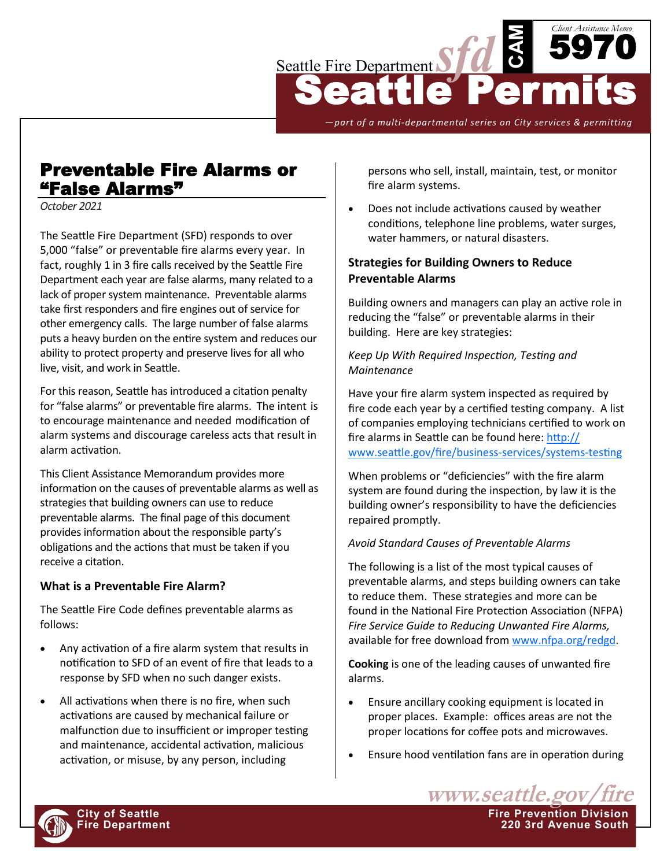

*—part of a multi-departmental series on City services & permitting*

# Preventable Fire Alarms or "False Alarms"

*October 2021*

The Seattle Fire Department (SFD) responds to over 5,000 "false" or preventable fire alarms every year. In fact, roughly 1 in 3 fire calls received by the Seattle Fire Department each year are false alarms, many related to a lack of proper system maintenance. Preventable alarms take first responders and fire engines out of service for other emergency calls. The large number of false alarms puts a heavy burden on the entire system and reduces our ability to protect property and preserve lives for all who live, visit, and work in Seattle.

For this reason, Seattle has introduced a citation penalty for "false alarms" or preventable fire alarms. The intent is to encourage maintenance and needed modification of alarm systems and discourage careless acts that result in alarm activation.

This Client Assistance Memorandum provides more information on the causes of preventable alarms as well as strategies that building owners can use to reduce preventable alarms. The final page of this document provides information about the responsible party's obligations and the actions that must be taken if you receive a citation.

## **What is a Preventable Fire Alarm?**

The Seattle Fire Code defines preventable alarms as follows:

- Any activation of a fire alarm system that results in notification to SFD of an event of fire that leads to a response by SFD when no such danger exists.
- All activations when there is no fire, when such activations are caused by mechanical failure or malfunction due to insufficient or improper testing and maintenance, accidental activation, malicious activation, or misuse, by any person, including

persons who sell, install, maintain, test, or monitor fire alarm systems.

• Does not include activations caused by weather conditions, telephone line problems, water surges, water hammers, or natural disasters.

# **Strategies for Building Owners to Reduce Preventable Alarms**

Building owners and managers can play an active role in reducing the "false" or preventable alarms in their building. Here are key strategies:

#### *Keep Up With Required Inspection, Testing and Maintenance*

Have your fire alarm system inspected as required by fire code each year by a certified testing company. A list of companies employing technicians certified to work on fire alarms in Seattle can be found here: [http://](http://www.seattle.gov/fire/business-services/systems-testing) [www.seattle.gov/fire/business](http://www.seattle.gov/fire/business-services/systems-testing)-services/systems-testing

When problems or "deficiencies" with the fire alarm system are found during the inspection, by law it is the building owner's responsibility to have the deficiencies repaired promptly.

## *Avoid Standard Causes of Preventable Alarms*

The following is a list of the most typical causes of preventable alarms, and steps building owners can take to reduce them. These strategies and more can be found in the National Fire Protection Association (NFPA) *Fire Service Guide to Reducing Unwanted Fire Alarms,*  available for free download from [www.nfpa.org/redgd.](https://catalog.nfpa.org/Fire-Service-Guide-to-Reducing-Unwanted-Fire-Alarms-PDF-P9419.aspx)

**Cooking** is one of the leading causes of unwanted fire alarms.

- Ensure ancillary cooking equipment is located in proper places. Example: offices areas are not the proper locations for coffee pots and microwaves.
- Ensure hood ventilation fans are in operation during

www.seattle.gov **City of Seattle Fire Prevention Division Fire Department 220 3rd Avenue South**

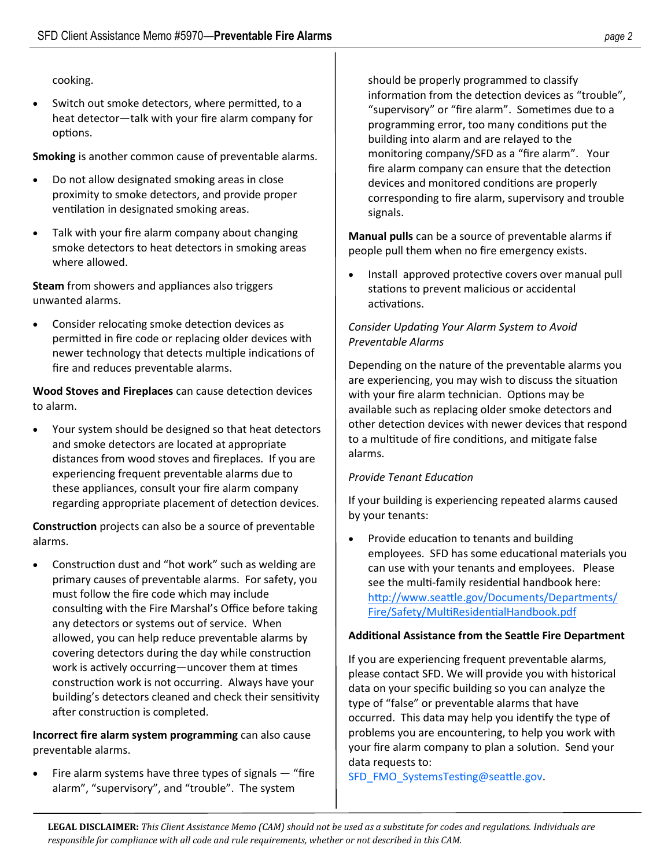## cooking.

• Switch out smoke detectors, where permitted, to a heat detector—talk with your fire alarm company for options.

**Smoking** is another common cause of preventable alarms.

- Do not allow designated smoking areas in close proximity to smoke detectors, and provide proper ventilation in designated smoking areas.
- Talk with your fire alarm company about changing smoke detectors to heat detectors in smoking areas where allowed.

**Steam** from showers and appliances also triggers unwanted alarms.

• Consider relocating smoke detection devices as permitted in fire code or replacing older devices with newer technology that detects multiple indications of fire and reduces preventable alarms.

**Wood Stoves and Fireplaces** can cause detection devices to alarm.

• Your system should be designed so that heat detectors and smoke detectors are located at appropriate distances from wood stoves and fireplaces. If you are experiencing frequent preventable alarms due to these appliances, consult your fire alarm company regarding appropriate placement of detection devices.

**Construction** projects can also be a source of preventable alarms.

• Construction dust and "hot work" such as welding are primary causes of preventable alarms. For safety, you must follow the fire code which may include consulting with the Fire Marshal's Office before taking any detectors or systems out of service. When allowed, you can help reduce preventable alarms by covering detectors during the day while construction work is actively occurring—uncover them at times construction work is not occurring. Always have your building's detectors cleaned and check their sensitivity after construction is completed.

**Incorrect fire alarm system programming** can also cause preventable alarms.

• Fire alarm systems have three types of signals — "fire alarm", "supervisory", and "trouble". The system

should be properly programmed to classify information from the detection devices as "trouble", "supervisory" or "fire alarm". Sometimes due to a programming error, too many conditions put the building into alarm and are relayed to the monitoring company/SFD as a "fire alarm". Your fire alarm company can ensure that the detection devices and monitored conditions are properly corresponding to fire alarm, supervisory and trouble signals.

**Manual pulls** can be a source of preventable alarms if people pull them when no fire emergency exists.

• Install approved protective covers over manual pull stations to prevent malicious or accidental activations.

# *Consider Updating Your Alarm System to Avoid Preventable Alarms*

Depending on the nature of the preventable alarms you are experiencing, you may wish to discuss the situation with your fire alarm technician. Options may be available such as replacing older smoke detectors and other detection devices with newer devices that respond to a multitude of fire conditions, and mitigate false alarms.

## *Provide Tenant Education*

If your building is experiencing repeated alarms caused by your tenants:

• Provide education to tenants and building employees. SFD has some educational materials you can use with your tenants and employees. Please see the multi-family residential handbook here: [http://www.seattle.gov/Documents/Departments/](http://www.seattle.gov/Documents/Departments/Fire/Safety/MultiResidentialHandbook.pdf) [Fire/Safety/MultiResidentialHandbook.pdf](http://www.seattle.gov/Documents/Departments/Fire/Safety/MultiResidentialHandbook.pdf)

## **Additional Assistance from the Seattle Fire Department**

If you are experiencing frequent preventable alarms, please contact SFD. We will provide you with historical data on your specific building so you can analyze the type of "false" or preventable alarms that have occurred. This data may help you identify the type of problems you are encountering, to help you work with your fire alarm company to plan a solution. Send your data requests to:

[SFD\\_FMO\\_SystemsTesting@seattle.gov.](mailto:SFD_FMO_SystemsTesting@seattle.gov)